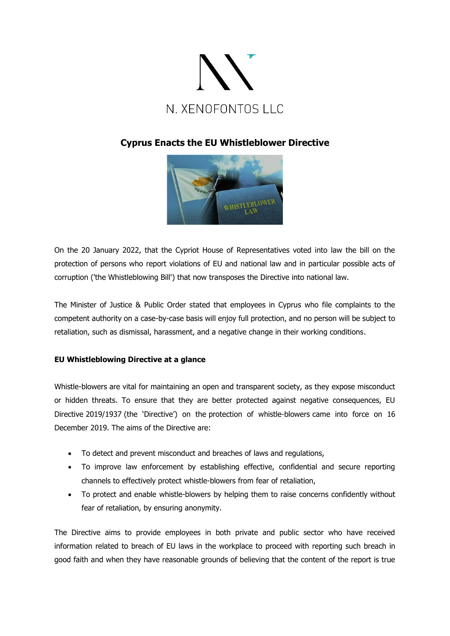

# **Cyprus Enacts the EU Whistleblower Directive**



On the 20 January 2022, that the Cypriot House of Representatives voted into law the bill on the protection of persons who report violations of EU and national law and in particular possible acts of corruption ('the Whistleblowing Bill') that now transposes the Directive into national law.

The Minister of Justice & Public Order stated that employees in Cyprus who file complaints to the competent authority on a case-by-case basis will enjoy full protection, and no person will be subject to retaliation, such as dismissal, harassment, and a negative change in their working conditions.

## **EU Whistleblowing Directive at a glance**

Whistle-blowers are vital for maintaining an open and transparent society, as they expose misconduct or hidden threats. To ensure that they are better protected against negative consequences, EU Directive [2019/1937](https://eur-lex.europa.eu/legal-content/EN/TXT/?uri=CELEX:32019L1937) (the 'Directive') on the [protection of whistle-blowers](https://www.europarl.europa.eu/news/en/press-room/20190410IPR37529/protecting-whistle-blowers-new-eu-wide-rules-approved) came into force on 16 December 2019. The aims of the Directive are:

- To detect and prevent misconduct and breaches of laws and regulations,
- To improve law enforcement by establishing effective, confidential and secure reporting channels to effectively protect whistle-blowers from fear of retaliation,
- To protect and enable whistle-blowers by helping them to raise concerns confidently without fear of retaliation, by ensuring anonymity.

The Directive aims to provide employees in both private and public sector who have received information related to breach of EU laws in the workplace to proceed with reporting such breach in good faith and when they have reasonable grounds of believing that the content of the report is true